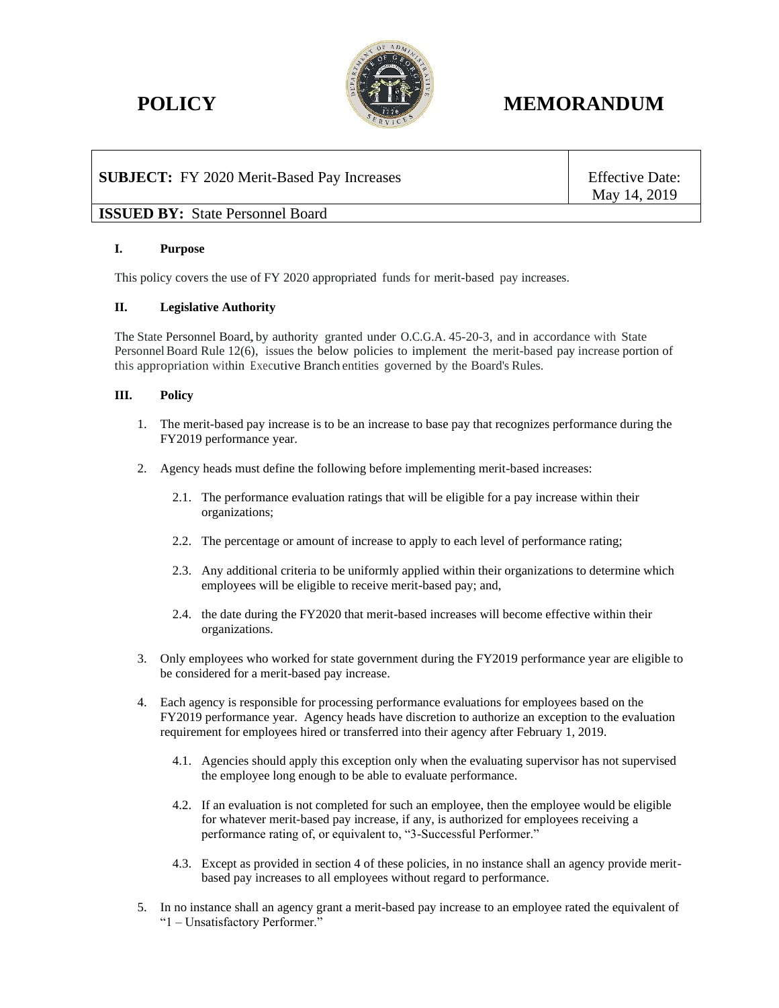

# **POLICY MEMORANDUM**

# **SUBJECT:** FY 2020 Merit-Based Pay Increases Fig. 5.1 [16] Effective Date:

May 14, 2019

## **ISSUED BY:** State Personnel Board

### **I. Purpose**

This policy covers the use of FY 2020 appropriated funds for merit-based pay increases.

### **II. Legislative Authority**

The State Personnel Board, by authority granted under O.C.G.A. 45-20-3, and in accordance with State Personnel Board Rule 12(6), issues the below policies to implement the merit-based pay increase portion of this appropriation within Executive Branch entities governed by the Board's Rules.

### **III. Policy**

- 1. The merit-based pay increase is to be an increase to base pay that recognizes performance during the FY2019 performance year.
- 2. Agency heads must define the following before implementing merit-based increases:
	- 2.1. The performance evaluation ratings that will be eligible for a pay increase within their organizations;
	- 2.2. The percentage or amount of increase to apply to each level of performance rating;
	- 2.3. Any additional criteria to be uniformly applied within their organizations to determine which employees will be eligible to receive merit-based pay; and,
	- 2.4. the date during the FY2020 that merit-based increases will become effective within their organizations.
- 3. Only employees who worked for state government during the FY2019 performance year are eligible to be considered for a merit-based pay increase.
- 4. Each agency is responsible for processing performance evaluations for employees based on the FY2019 performance year. Agency heads have discretion to authorize an exception to the evaluation requirement for employees hired or transferred into their agency after February 1, 2019.
	- 4.1. Agencies should apply this exception only when the evaluating supervisor has not supervised the employee long enough to be able to evaluate performance.
	- 4.2. If an evaluation is not completed for such an employee, then the employee would be eligible for whatever merit-based pay increase, if any, is authorized for employees receiving a performance rating of, or equivalent to, "3-Successful Performer."
	- 4.3. Except as provided in section 4 of these policies, in no instance shall an agency provide meritbased pay increases to all employees without regard to performance.
- 5. In no instance shall an agency grant a merit-based pay increase to an employee rated the equivalent of "1 – Unsatisfactory Performer."